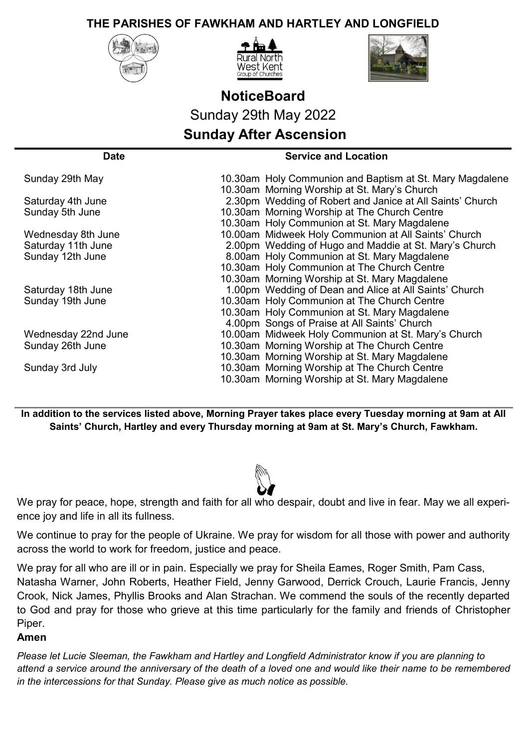## **THE PARISHES OF FAWKHAM AND HARTLEY AND LONGFIELD**







## **NoticeBoard** Sunday 29th May 2022 **Sunday After Ascension**

| Date                | <b>Service and Location</b>                               |
|---------------------|-----------------------------------------------------------|
| Sunday 29th May     | 10.30am Holy Communion and Baptism at St. Mary Magdalene  |
|                     | 10.30am Morning Worship at St. Mary's Church              |
| Saturday 4th June   | 2.30pm Wedding of Robert and Janice at All Saints' Church |
| Sunday 5th June     | 10.30am Morning Worship at The Church Centre              |
|                     | 10.30am Holy Communion at St. Mary Magdalene              |
| Wednesday 8th June  | 10.00am Midweek Holy Communion at All Saints' Church      |
| Saturday 11th June  | 2.00pm Wedding of Hugo and Maddie at St. Mary's Church    |
| Sunday 12th June    | 8.00am Holy Communion at St. Mary Magdalene               |
|                     | 10.30am Holy Communion at The Church Centre               |
|                     | 10.30am Morning Worship at St. Mary Magdalene             |
| Saturday 18th June  | 1.00pm Wedding of Dean and Alice at All Saints' Church    |
| Sunday 19th June    | 10.30am Holy Communion at The Church Centre               |
|                     | 10.30am Holy Communion at St. Mary Magdalene              |
|                     | 4.00pm Songs of Praise at All Saints' Church              |
| Wednesday 22nd June | 10.00am Midweek Holy Communion at St. Mary's Church       |
| Sunday 26th June    | 10.30am Morning Worship at The Church Centre              |
|                     | 10.30am Morning Worship at St. Mary Magdalene             |
| Sunday 3rd July     | 10.30am Morning Worship at The Church Centre              |
|                     | 10.30am Morning Worship at St. Mary Magdalene             |

**In addition to the services listed above, Morning Prayer takes place every Tuesday morning at 9am at All Saints' Church, Hartley and every Thursday morning at 9am at St. Mary's Church, Fawkham.** 



We pray for peace, hope, strength and faith for all who despair, doubt and live in fear. May we all experience joy and life in all its fullness.

We continue to pray for the people of Ukraine. We pray for wisdom for all those with power and authority across the world to work for freedom, justice and peace.

We pray for all who are ill or in pain. Especially we pray for Sheila Eames, Roger Smith, Pam Cass, Natasha Warner, John Roberts, Heather Field, Jenny Garwood, Derrick Crouch, Laurie Francis, Jenny Crook, Nick James, Phyllis Brooks and Alan Strachan. We commend the souls of the recently departed to God and pray for those who grieve at this time particularly for the family and friends of Christopher Piper.

## **Amen**

*Please let Lucie Sleeman, the Fawkham and Hartley and Longfield Administrator know if you are planning to attend a service around the anniversary of the death of a loved one and would like their name to be remembered in the intercessions for that Sunday. Please give as much notice as possible.*